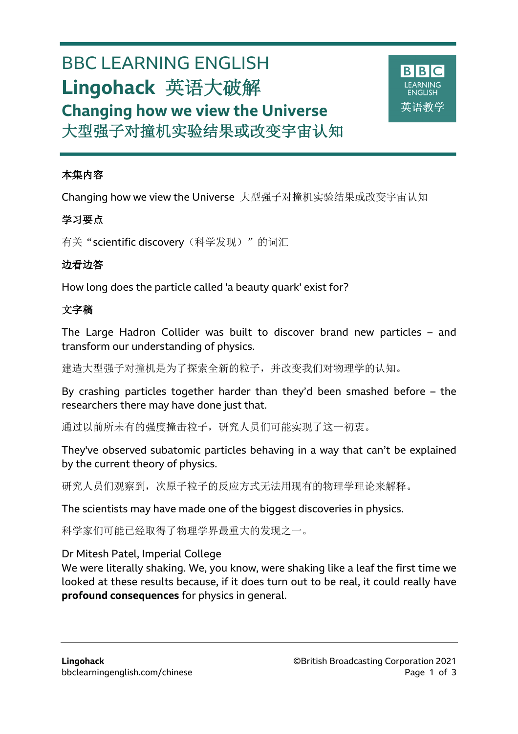# BBC LEARNING ENGLISH **Lingohack** 英语大破解 **Changing how we view the Universe** 大型强子对撞机实验结果或改变宇宙认知



#### 本集内容

l

Changing how we view the Universe 大型强子对撞机实验结果或改变宇宙认知

## 学习要点

有关"scientific discovery(科学发现)"的词汇

### 边看边答

How long does the particle called 'a beauty quark' exist for?

## 文字稿

The Large Hadron Collider was built to discover brand new particles – and transform our understanding of physics.

建造大型强子对撞机是为了探索全新的粒子,并改变我们对物理学的认知。

By crashing particles together harder than they'd been smashed before – the researchers there may have done just that.

通过以前所未有的强度撞击粒子,研究人员们可能实现了这一初衷。

They've observed subatomic particles behaving in a way that can't be explained by the current theory of physics.

研究人员们观察到,次原子粒子的反应方式无法用现有的物理学理论来解释。

The scientists may have made one of the biggest discoveries in physics.

科学家们可能已经取得了物理学界最重大的发现之一。

Dr Mitesh Patel, Imperial College

We were literally shaking. We, you know, were shaking like a leaf the first time we looked at these results because, if it does turn out to be real, it could really have **profound consequences** for physics in general.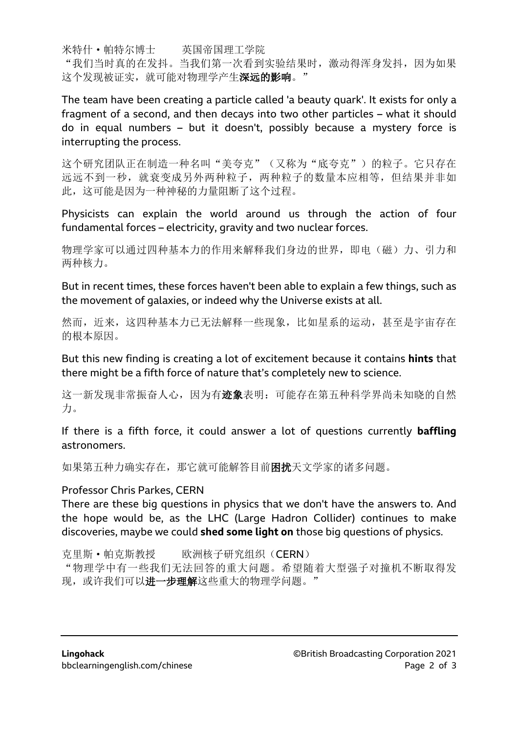米特什·帕特尔博士 英国帝国理工学院

"我们当时真的在发抖。当我们第一次看到实验结果时,激动得浑身发抖,因为如果 这个发现被证实, 就可能对物理学产生**深远的影响**。"

The team have been creating a particle called 'a beauty quark'. It exists for only a fragment of a second, and then decays into two other particles – what it should do in equal numbers – but it doesn't, possibly because a mystery force is interrupting the process.

这个研究团队正在制造一种名叫"美夸克"(又称为"底夸克")的粒子。它只存在 远远不到一秒,就衰变成另外两种粒子,两种粒子的数量本应相等,但结果并非如 此,这可能是因为一种神秘的力量阻断了这个过程。

Physicists can explain the world around us through the action of four fundamental forces – electricity, gravity and two nuclear forces.

物理学家可以通过四种基本力的作用来解释我们身边的世界,即电(磁)力、引力和 两种核力。

But in recent times, these forces haven't been able to explain a few things, such as the movement of galaxies, or indeed why the Universe exists at all.

然而,近来,这四种基本力已无法解释一些现象,比如星系的运动,甚至是宇宙存在 的根本原因。

But this new finding is creating a lot of excitement because it contains **hints** that there might be a fifth force of nature that's completely new to science.

这一新发现非常振奋人心,因为有迹象表明:可能存在第五种科学界尚未知晓的自然 力。

If there is a fifth force, it could answer a lot of questions currently **baffling** astronomers.

如果第五种力确实存在,那它就可能解答目前困扰天文学家的诸多问题。

#### Professor Chris Parkes, CERN

There are these big questions in physics that we don't have the answers to. And the hope would be, as the LHC (Large Hadron Collider) continues to make discoveries, maybe we could **shed some light on** those big questions of physics.

克里斯·帕克斯教授 欧洲核子研究组织(CERN)

"物理学中有一些我们无法回答的重大问题。希望随着大型强子对撞机不断取得发 现,或许我们可以进一步理解这些重大的物理学问题。"